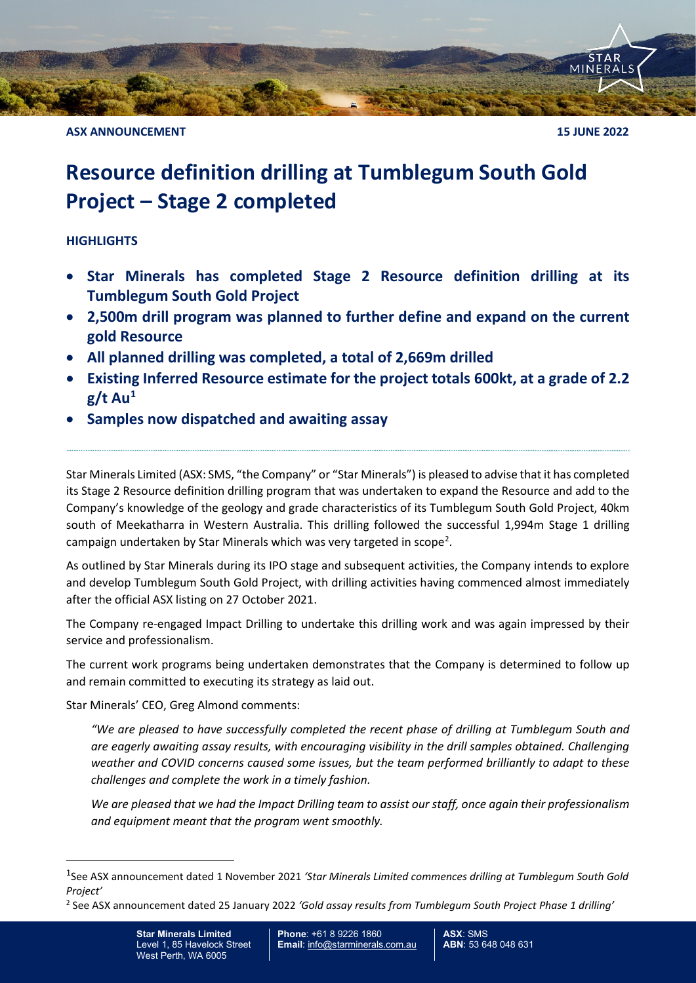

**ASX ANNOUNCEMENT 15 JUNE 2022** 

# **Resource definition drilling at Tumblegum South Gold Project – Stage 2 completed**

## **HIGHLIGHTS**

- **Star Minerals has completed Stage 2 Resource definition drilling at its Tumblegum South Gold Project**
- **2,500m drill program was planned to further define and expand on the current gold Resource**
- **All planned drilling was completed, a total of 2,669m drilled**
- **Existing Inferred Resource estimate for the project totals 600kt, at a grade of 2.2 g/t Au[1](#page-0-0)**
- **Samples now dispatched and awaiting assay**

Star Minerals Limited (ASX: SMS, "the Company" or "Star Minerals") is pleased to advise that it has completed its Stage 2 Resource definition drilling program that was undertaken to expand the Resource and add to the Company's knowledge of the geology and grade characteristics of its Tumblegum South Gold Project, 40km south of Meekatharra in Western Australia. This drilling followed the successful 1,994m Stage 1 drilling campaign undertaken by Star Minerals which was very targeted in scope<sup>[2](#page-0-1)</sup>.

As outlined by Star Minerals during its IPO stage and subsequent activities, the Company intends to explore and develop Tumblegum South Gold Project, with drilling activities having commenced almost immediately after the official ASX listing on 27 October 2021.

The Company re-engaged Impact Drilling to undertake this drilling work and was again impressed by their service and professionalism.

The current work programs being undertaken demonstrates that the Company is determined to follow up and remain committed to executing its strategy as laid out.

Star Minerals' CEO, Greg Almond comments:

*"We are pleased to have successfully completed the recent phase of drilling at Tumblegum South and are eagerly awaiting assay results, with encouraging visibility in the drill samples obtained. Challenging weather and COVID concerns caused some issues, but the team performed brilliantly to adapt to these challenges and complete the work in a timely fashion.* 

*We are pleased that we had the Impact Drilling team to assist our staff, once again their professionalism and equipment meant that the program went smoothly.* 

<span id="page-0-1"></span><sup>2</sup> See ASX announcement dated 25 January 2022 *'Gold assay results from Tumblegum South Project Phase 1 drilling'*

<span id="page-0-0"></span><sup>1</sup>See ASX announcement dated 1 November 2021 *'Star Minerals Limited commences drilling at Tumblegum South Gold Project'*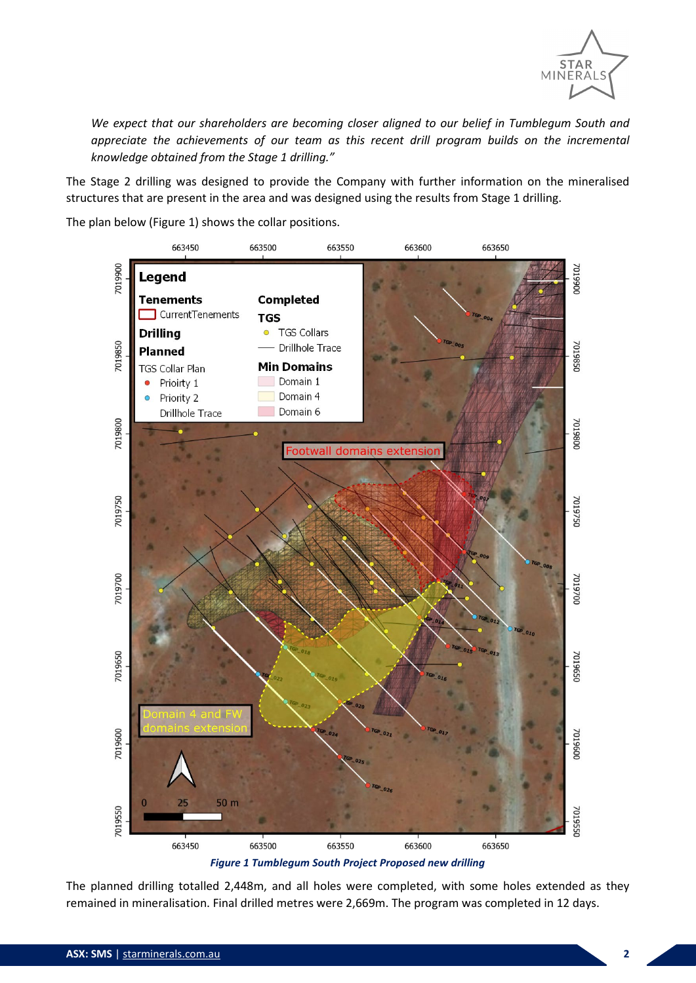

*We expect that our shareholders are becoming closer aligned to our belief in Tumblegum South and appreciate the achievements of our team as this recent drill program builds on the incremental knowledge obtained from the Stage 1 drilling."*

The Stage 2 drilling was designed to provide the Company with further information on the mineralised structures that are present in the area and was designed using the results from Stage 1 drilling.

The plan below (Figure 1) shows the collar positions.



*Figure 1 Tumblegum South Project Proposed new drilling*

The planned drilling totalled 2,448m, and all holes were completed, with some holes extended as they remained in mineralisation. Final drilled metres were 2,669m. The program was completed in 12 days.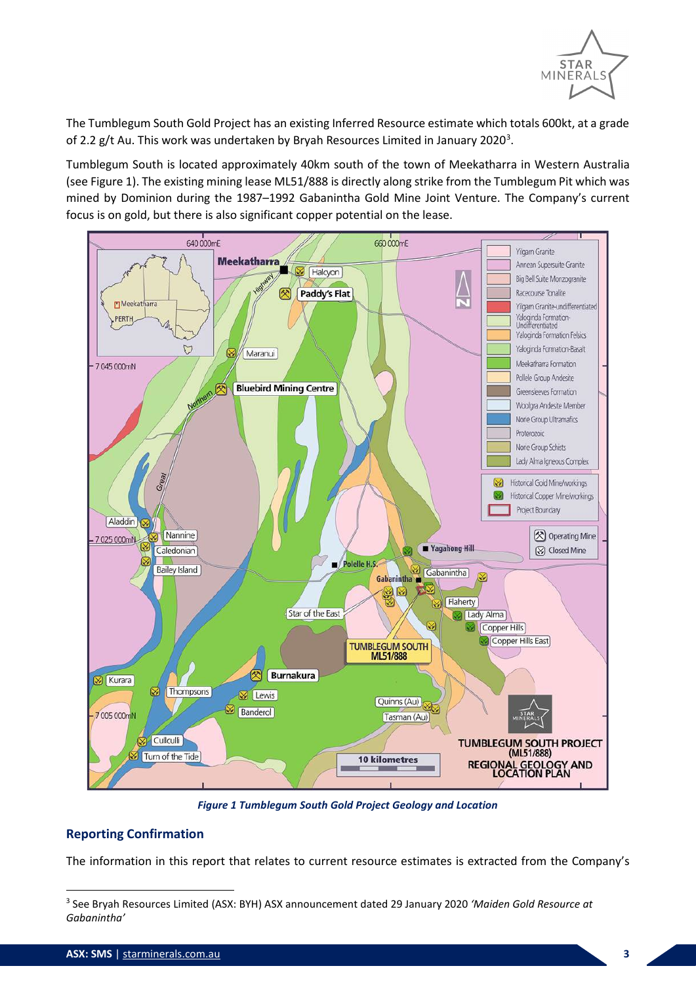

The Tumblegum South Gold Project has an existing Inferred Resource estimate which totals 600kt, at a grade of 2.2 g/t Au. This work was undertaken by Bryah Resources Limited in January 2020<sup>[3](#page-2-1)</sup>.

Tumblegum South is located approximately 40km south of the town of Meekatharra in Western Australia (se[e Figure 1\)](#page-2-0). The existing mining lease ML51/888 is directly along strike from the Tumblegum Pit which was mined by Dominion during the 1987–1992 Gabanintha Gold Mine Joint Venture. The Company's current focus is on gold, but there is also significant copper potential on the lease.



*Figure 1 Tumblegum South Gold Project Geology and Location*

## <span id="page-2-0"></span>**Reporting Confirmation**

The information in this report that relates to current resource estimates is extracted from the Company's

<span id="page-2-1"></span><sup>3</sup> See Bryah Resources Limited (ASX: BYH) ASX announcement dated 29 January 2020 *'Maiden Gold Resource at Gabanintha'*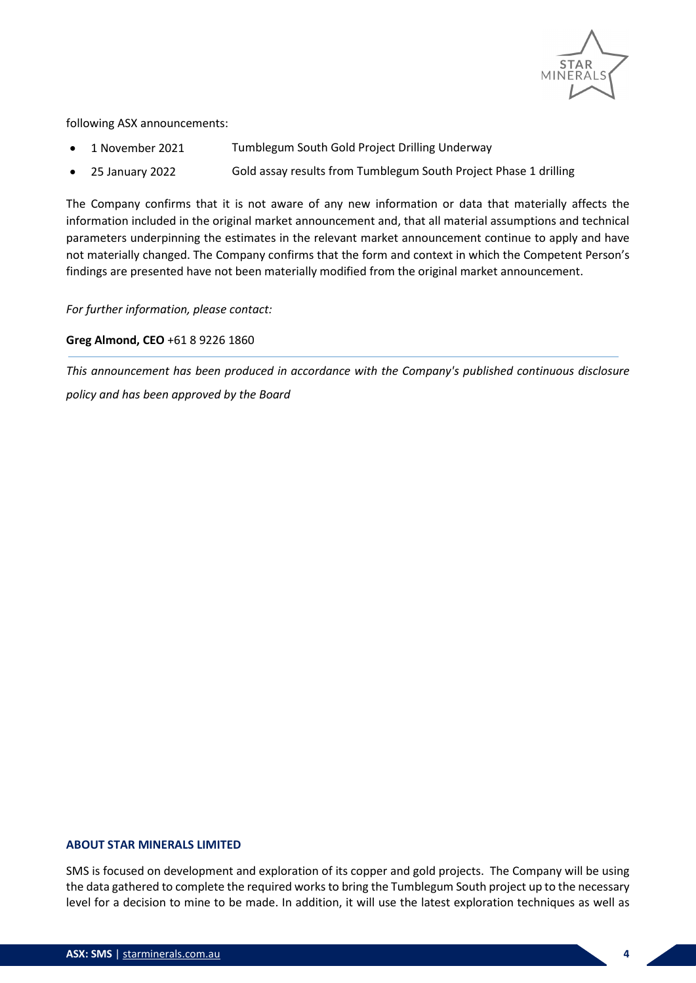

following ASX announcements:

- 1 November 2021 Tumblegum South Gold Project Drilling Underway
- 25 January 2022 Gold assay results from Tumblegum South Project Phase 1 drilling

The Company confirms that it is not aware of any new information or data that materially affects the information included in the original market announcement and, that all material assumptions and technical parameters underpinning the estimates in the relevant market announcement continue to apply and have not materially changed. The Company confirms that the form and context in which the Competent Person's findings are presented have not been materially modified from the original market announcement.

*For further information, please contact:* 

### **Greg Almond, CEO** +61 8 9226 1860

*This announcement has been produced in accordance with the Company's published continuous disclosure policy and has been approved by the Board*

#### **ABOUT STAR MINERALS LIMITED**

SMS is focused on development and exploration of its copper and gold projects. The Company will be using the data gathered to complete the required works to bring the Tumblegum South project up to the necessary level for a decision to mine to be made. In addition, it will use the latest exploration techniques as well as